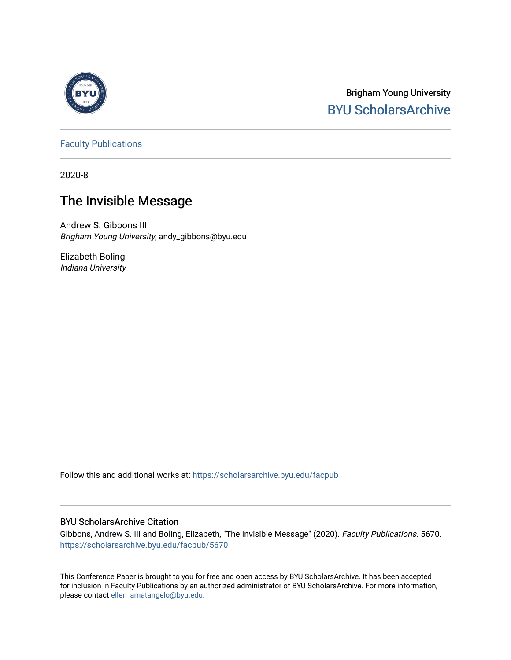

# Brigham Young University [BYU ScholarsArchive](https://scholarsarchive.byu.edu/)

[Faculty Publications](https://scholarsarchive.byu.edu/facpub)

2020-8

# The Invisible Message

Andrew S. Gibbons III Brigham Young University, andy\_gibbons@byu.edu

Elizabeth Boling Indiana University

Follow this and additional works at: [https://scholarsarchive.byu.edu/facpub](https://scholarsarchive.byu.edu/facpub?utm_source=scholarsarchive.byu.edu%2Ffacpub%2F5670&utm_medium=PDF&utm_campaign=PDFCoverPages) 

### BYU ScholarsArchive Citation

Gibbons, Andrew S. III and Boling, Elizabeth, "The Invisible Message" (2020). Faculty Publications. 5670. [https://scholarsarchive.byu.edu/facpub/5670](https://scholarsarchive.byu.edu/facpub/5670?utm_source=scholarsarchive.byu.edu%2Ffacpub%2F5670&utm_medium=PDF&utm_campaign=PDFCoverPages)

This Conference Paper is brought to you for free and open access by BYU ScholarsArchive. It has been accepted for inclusion in Faculty Publications by an authorized administrator of BYU ScholarsArchive. For more information, please contact [ellen\\_amatangelo@byu.edu](mailto:ellen_amatangelo@byu.edu).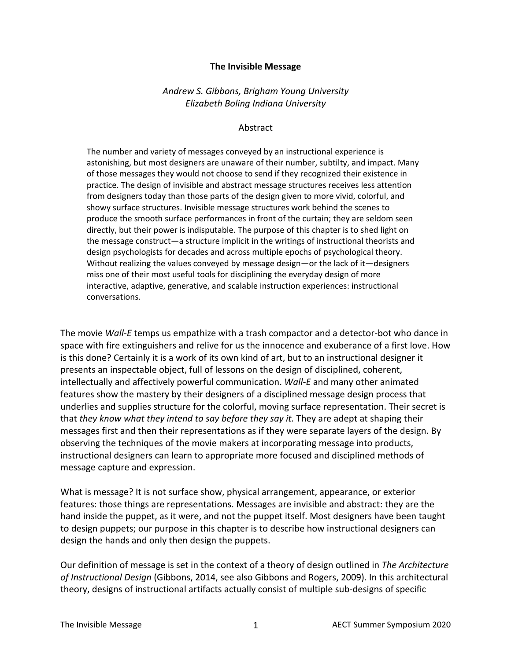#### **The Invisible Message**

## *Andrew S. Gibbons, Brigham Young University Elizabeth Boling Indiana University*

#### Abstract

The number and variety of messages conveyed by an instructional experience is astonishing, but most designers are unaware of their number, subtilty, and impact. Many of those messages they would not choose to send if they recognized their existence in practice. The design of invisible and abstract message structures receives less attention from designers today than those parts of the design given to more vivid, colorful, and showy surface structures. Invisible message structures work behind the scenes to produce the smooth surface performances in front of the curtain; they are seldom seen directly, but their power is indisputable. The purpose of this chapter is to shed light on the message construct—a structure implicit in the writings of instructional theorists and design psychologists for decades and across multiple epochs of psychological theory. Without realizing the values conveyed by message design—or the lack of it—designers miss one of their most useful tools for disciplining the everyday design of more interactive, adaptive, generative, and scalable instruction experiences: instructional conversations.

The movie *Wall-E* temps us empathize with a trash compactor and a detector-bot who dance in space with fire extinguishers and relive for us the innocence and exuberance of a first love. How is this done? Certainly it is a work of its own kind of art, but to an instructional designer it presents an inspectable object, full of lessons on the design of disciplined, coherent, intellectually and affectively powerful communication. *Wall-E* and many other animated features show the mastery by their designers of a disciplined message design process that underlies and supplies structure for the colorful, moving surface representation. Their secret is that *they know what they intend to say before they say it.* They are adept at shaping their messages first and then their representations as if they were separate layers of the design. By observing the techniques of the movie makers at incorporating message into products, instructional designers can learn to appropriate more focused and disciplined methods of message capture and expression.

What is message? It is not surface show, physical arrangement, appearance, or exterior features: those things are representations. Messages are invisible and abstract: they are the hand inside the puppet, as it were, and not the puppet itself. Most designers have been taught to design puppets; our purpose in this chapter is to describe how instructional designers can design the hands and only then design the puppets.

Our definition of message is set in the context of a theory of design outlined in *The Architecture of Instructional Design* (Gibbons, 2014, see also Gibbons and Rogers, 2009). In this architectural theory, designs of instructional artifacts actually consist of multiple sub-designs of specific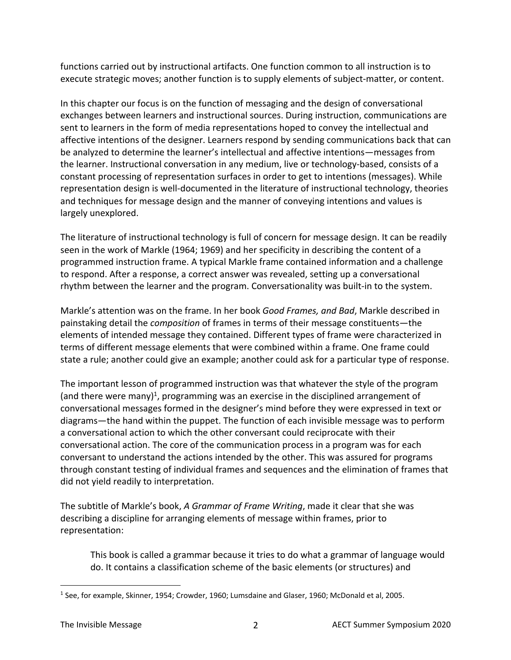functions carried out by instructional artifacts. One function common to all instruction is to execute strategic moves; another function is to supply elements of subject-matter, or content.

In this chapter our focus is on the function of messaging and the design of conversational exchanges between learners and instructional sources. During instruction, communications are sent to learners in the form of media representations hoped to convey the intellectual and affective intentions of the designer. Learners respond by sending communications back that can be analyzed to determine the learner's intellectual and affective intentions—messages from the learner. Instructional conversation in any medium, live or technology-based, consists of a constant processing of representation surfaces in order to get to intentions (messages). While representation design is well-documented in the literature of instructional technology, theories and techniques for message design and the manner of conveying intentions and values is largely unexplored.

The literature of instructional technology is full of concern for message design. It can be readily seen in the work of Markle (1964; 1969) and her specificity in describing the content of a programmed instruction frame. A typical Markle frame contained information and a challenge to respond. After a response, a correct answer was revealed, setting up a conversational rhythm between the learner and the program. Conversationality was built-in to the system.

Markle's attention was on the frame. In her book *Good Frames, and Bad*, Markle described in painstaking detail the *composition* of frames in terms of their message constituents—the elements of intended message they contained. Different types of frame were characterized in terms of different message elements that were combined within a frame. One frame could state a rule; another could give an example; another could ask for a particular type of response.

The important lesson of programmed instruction was that whatever the style of the program (and there were many)<sup>1</sup>, programming was an exercise in the disciplined arrangement of conversational messages formed in the designer's mind before they were expressed in text or diagrams—the hand within the puppet. The function of each invisible message was to perform a conversational action to which the other conversant could reciprocate with their conversational action. The core of the communication process in a program was for each conversant to understand the actions intended by the other. This was assured for programs through constant testing of individual frames and sequences and the elimination of frames that did not yield readily to interpretation.

The subtitle of Markle's book, *A Grammar of Frame Writing*, made it clear that she was describing a discipline for arranging elements of message within frames, prior to representation:

This book is called a grammar because it tries to do what a grammar of language would do. It contains a classification scheme of the basic elements (or structures) and

<sup>1</sup> See, for example, Skinner, 1954; Crowder, 1960; Lumsdaine and Glaser, 1960; McDonald et al, 2005.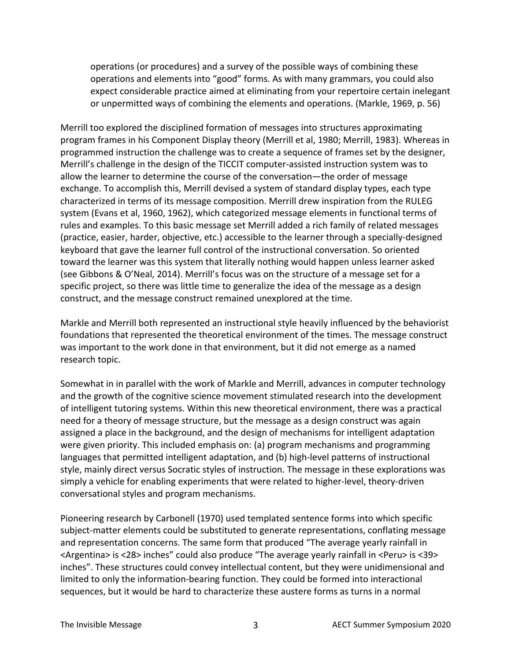operations (or procedures) and a survey of the possible ways of combining these operations and elements into "good" forms. As with many grammars, you could also expect considerable practice aimed at eliminating from your repertoire certain inelegant or unpermitted ways of combining the elements and operations. (Markle, 1969, p. 56)

Merrill too explored the disciplined formation of messages into structures approximating program frames in his Component Display theory (Merrill et al, 1980; Merrill, 1983). Whereas in programmed instruction the challenge was to create a sequence of frames set by the designer, Merrill's challenge in the design of the TICCIT computer-assisted instruction system was to allow the learner to determine the course of the conversation—the order of message exchange. To accomplish this, Merrill devised a system of standard display types, each type characterized in terms of its message composition. Merrill drew inspiration from the RULEG system (Evans et al, 1960, 1962), which categorized message elements in functional terms of rules and examples. To this basic message set Merrill added a rich family of related messages (practice, easier, harder, objective, etc.) accessible to the learner through a specially-designed keyboard that gave the learner full control of the instructional conversation. So oriented toward the learner was this system that literally nothing would happen unless learner asked (see Gibbons & O'Neal, 2014). Merrill's focus was on the structure of a message set for a specific project, so there was little time to generalize the idea of the message as a design construct, and the message construct remained unexplored at the time.

Markle and Merrill both represented an instructional style heavily influenced by the behaviorist foundations that represented the theoretical environment of the times. The message construct was important to the work done in that environment, but it did not emerge as a named research topic.

Somewhat in in parallel with the work of Markle and Merrill, advances in computer technology and the growth of the cognitive science movement stimulated research into the development of intelligent tutoring systems. Within this new theoretical environment, there was a practical need for a theory of message structure, but the message as a design construct was again assigned a place in the background, and the design of mechanisms for intelligent adaptation were given priority. This included emphasis on: (a) program mechanisms and programming languages that permitted intelligent adaptation, and (b) high-level patterns of instructional style, mainly direct versus Socratic styles of instruction. The message in these explorations was simply a vehicle for enabling experiments that were related to higher-level, theory-driven conversational styles and program mechanisms.

Pioneering research by Carbonell (1970) used templated sentence forms into which specific subject-matter elements could be substituted to generate representations, conflating message and representation concerns. The same form that produced "The average yearly rainfall in <Argentina> is <28> inches" could also produce "The average yearly rainfall in <Peru> is <39> inches". These structures could convey intellectual content, but they were unidimensional and limited to only the information-bearing function. They could be formed into interactional sequences, but it would be hard to characterize these austere forms as turns in a normal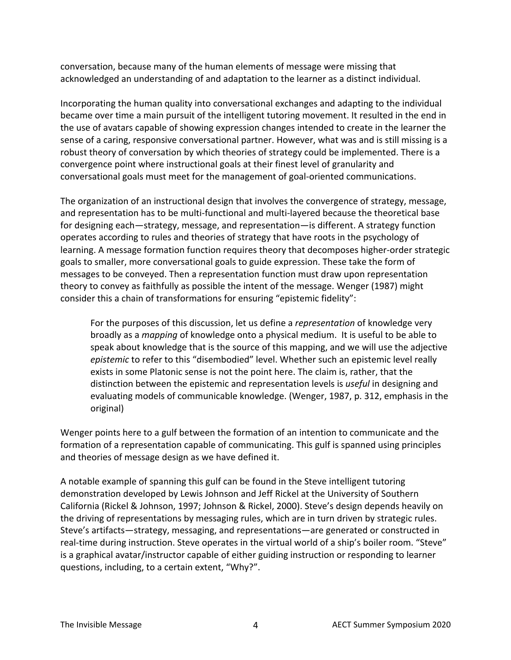conversation, because many of the human elements of message were missing that acknowledged an understanding of and adaptation to the learner as a distinct individual.

Incorporating the human quality into conversational exchanges and adapting to the individual became over time a main pursuit of the intelligent tutoring movement. It resulted in the end in the use of avatars capable of showing expression changes intended to create in the learner the sense of a caring, responsive conversational partner. However, what was and is still missing is a robust theory of conversation by which theories of strategy could be implemented. There is a convergence point where instructional goals at their finest level of granularity and conversational goals must meet for the management of goal-oriented communications.

The organization of an instructional design that involves the convergence of strategy, message, and representation has to be multi-functional and multi-layered because the theoretical base for designing each—strategy, message, and representation—is different. A strategy function operates according to rules and theories of strategy that have roots in the psychology of learning. A message formation function requires theory that decomposes higher-order strategic goals to smaller, more conversational goals to guide expression. These take the form of messages to be conveyed. Then a representation function must draw upon representation theory to convey as faithfully as possible the intent of the message. Wenger (1987) might consider this a chain of transformations for ensuring "epistemic fidelity":

For the purposes of this discussion, let us define a *representation* of knowledge very broadly as a *mapping* of knowledge onto a physical medium. It is useful to be able to speak about knowledge that is the source of this mapping, and we will use the adjective *epistemic* to refer to this "disembodied" level. Whether such an epistemic level really exists in some Platonic sense is not the point here. The claim is, rather, that the distinction between the epistemic and representation levels is *useful* in designing and evaluating models of communicable knowledge. (Wenger, 1987, p. 312, emphasis in the original)

Wenger points here to a gulf between the formation of an intention to communicate and the formation of a representation capable of communicating. This gulf is spanned using principles and theories of message design as we have defined it.

A notable example of spanning this gulf can be found in the Steve intelligent tutoring demonstration developed by Lewis Johnson and Jeff Rickel at the University of Southern California (Rickel & Johnson, 1997; Johnson & Rickel, 2000). Steve's design depends heavily on the driving of representations by messaging rules, which are in turn driven by strategic rules. Steve's artifacts—strategy, messaging, and representations—are generated or constructed in real-time during instruction. Steve operates in the virtual world of a ship's boiler room. "Steve" is a graphical avatar/instructor capable of either guiding instruction or responding to learner questions, including, to a certain extent, "Why?".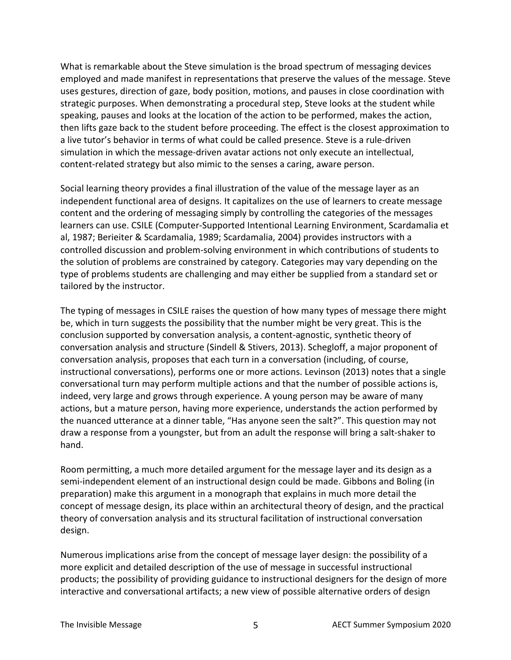What is remarkable about the Steve simulation is the broad spectrum of messaging devices employed and made manifest in representations that preserve the values of the message. Steve uses gestures, direction of gaze, body position, motions, and pauses in close coordination with strategic purposes. When demonstrating a procedural step, Steve looks at the student while speaking, pauses and looks at the location of the action to be performed, makes the action, then lifts gaze back to the student before proceeding. The effect is the closest approximation to a live tutor's behavior in terms of what could be called presence. Steve is a rule-driven simulation in which the message-driven avatar actions not only execute an intellectual, content-related strategy but also mimic to the senses a caring, aware person.

Social learning theory provides a final illustration of the value of the message layer as an independent functional area of designs. It capitalizes on the use of learners to create message content and the ordering of messaging simply by controlling the categories of the messages learners can use. CSILE (Computer-Supported Intentional Learning Environment, Scardamalia et al, 1987; Berieiter & Scardamalia, 1989; Scardamalia, 2004) provides instructors with a controlled discussion and problem-solving environment in which contributions of students to the solution of problems are constrained by category. Categories may vary depending on the type of problems students are challenging and may either be supplied from a standard set or tailored by the instructor.

The typing of messages in CSILE raises the question of how many types of message there might be, which in turn suggests the possibility that the number might be very great. This is the conclusion supported by conversation analysis, a content-agnostic, synthetic theory of conversation analysis and structure (Sindell & Stivers, 2013). Schegloff, a major proponent of conversation analysis, proposes that each turn in a conversation (including, of course, instructional conversations), performs one or more actions. Levinson (2013) notes that a single conversational turn may perform multiple actions and that the number of possible actions is, indeed, very large and grows through experience. A young person may be aware of many actions, but a mature person, having more experience, understands the action performed by the nuanced utterance at a dinner table, "Has anyone seen the salt?". This question may not draw a response from a youngster, but from an adult the response will bring a salt-shaker to hand.

Room permitting, a much more detailed argument for the message layer and its design as a semi-independent element of an instructional design could be made. Gibbons and Boling (in preparation) make this argument in a monograph that explains in much more detail the concept of message design, its place within an architectural theory of design, and the practical theory of conversation analysis and its structural facilitation of instructional conversation design.

Numerous implications arise from the concept of message layer design: the possibility of a more explicit and detailed description of the use of message in successful instructional products; the possibility of providing guidance to instructional designers for the design of more interactive and conversational artifacts; a new view of possible alternative orders of design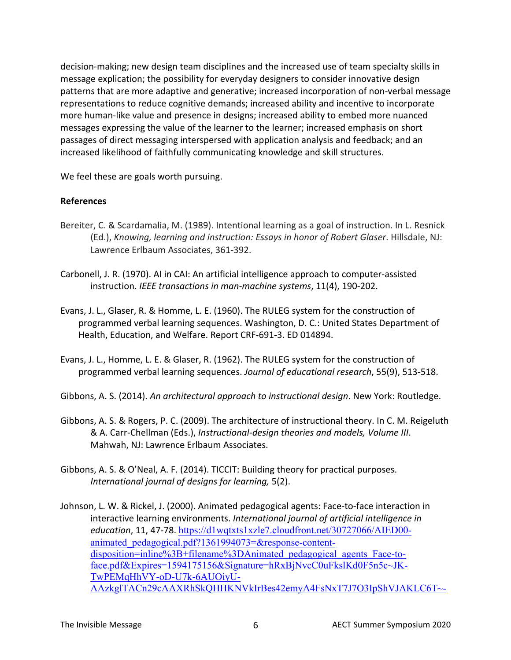decision-making; new design team disciplines and the increased use of team specialty skills in message explication; the possibility for everyday designers to consider innovative design patterns that are more adaptive and generative; increased incorporation of non-verbal message representations to reduce cognitive demands; increased ability and incentive to incorporate more human-like value and presence in designs; increased ability to embed more nuanced messages expressing the value of the learner to the learner; increased emphasis on short passages of direct messaging interspersed with application analysis and feedback; and an increased likelihood of faithfully communicating knowledge and skill structures.

We feel these are goals worth pursuing.

## **References**

- Bereiter, C. & Scardamalia, M. (1989). Intentional learning as a goal of instruction. In L. Resnick (Ed.), *Knowing, learning and instruction: Essays in honor of Robert Glaser*. Hillsdale, NJ: Lawrence Erlbaum Associates, 361-392.
- Carbonell, J. R. (1970). AI in CAI: An artificial intelligence approach to computer-assisted instruction. *IEEE transactions in man-machine systems*, 11(4), 190-202.
- Evans, J. L., Glaser, R. & Homme, L. E. (1960). The RULEG system for the construction of programmed verbal learning sequences. Washington, D. C.: United States Department of Health, Education, and Welfare. Report CRF-691-3. ED 014894.
- Evans, J. L., Homme, L. E. & Glaser, R. (1962). The RULEG system for the construction of programmed verbal learning sequences. *Journal of educational research*, 55(9), 513-518.
- Gibbons, A. S. (2014). *An architectural approach to instructional design*. New York: Routledge.
- Gibbons, A. S. & Rogers, P. C. (2009). The architecture of instructional theory. In C. M. Reigeluth & A. Carr-Chellman (Eds.), *Instructional-design theories and models, Volume III*. Mahwah, NJ: Lawrence Erlbaum Associates.
- Gibbons, A. S. & O'Neal, A. F. (2014). TICCIT: Building theory for practical purposes. *International journal of designs for learning,* 5(2).
- Johnson, L. W. & Rickel, J. (2000). Animated pedagogical agents: Face-to-face interaction in interactive learning environments. *International journal of artificial intelligence in education*, 11, 47-78. https://d1wqtxts1xzle7.cloudfront.net/30727066/AIED00 animated\_pedagogical.pdf?1361994073=&response-contentdisposition=inline%3B+filename%3DAnimated pedagogical agents Face-toface.pdf&Expires=1594175156&Signature=hRxBjNvcC0uFkslKd0F5n5c~JK-TwPEMqHhVY-oD-U7k-6AUOiyU-AAzkglTACn29cAAXRhSkQHHKNVkIrBes42emyA4FsNxT7J7O3IpShVJAKLC6T~-